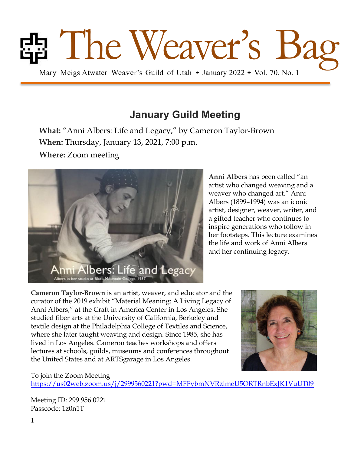

# **January Guild Meeting**

**What:** "Anni Albers: Life and Legacy," by Cameron Taylor-Brown **When:** Thursday, January 13, 2021, 7:00 p.m.

**Where:** Zoom meeting



**Anni Albers** has been called "an artist who changed weaving and a weaver who changed art." Anni Albers (1899–1994) was an iconic artist, designer, weaver, writer, and a gifted teacher who continues to inspire generations who follow in her footsteps. This lecture examines the life and work of Anni Albers and her continuing legacy.

**Cameron Taylor-Brown** is an artist, weaver, and educator and the curator of the 2019 exhibit "Material Meaning: A Living Legacy of Anni Albers," at the Craft in America Center in Los Angeles. She studied fiber arts at the University of California, Berkeley and textile design at the Philadelphia College of Textiles and Science, where she later taught weaving and design. Since 1985, she has lived in Los Angeles. Cameron teaches workshops and offers lectures at schools, guilds, museums and conferences throughout the United States and at ARTSgarage in Los Angeles.



#### To join the Zoom Meeting

https://us02web.zoom.us/j/2999560221?pwd=MFFybmNVRzlmeU5ORTRnbExJK1VuUT09

Meeting ID: 299 956 0221 Passcode: 1z0n1T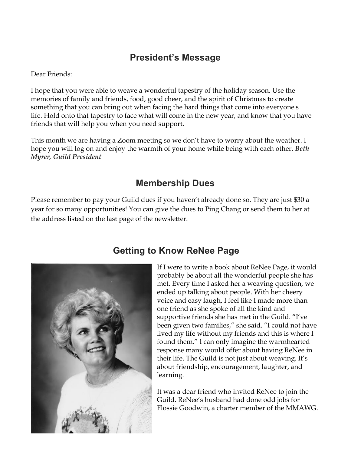### **President's Message**

Dear Friends:

I hope that you were able to weave a wonderful tapestry of the holiday season. Use the memories of family and friends, food, good cheer, and the spirit of Christmas to create something that you can bring out when facing the hard things that come into everyone's life. Hold onto that tapestry to face what will come in the new year, and know that you have friends that will help you when you need support.

This month we are having a Zoom meeting so we don't have to worry about the weather. I hope you will log on and enjoy the warmth of your home while being with each other. *Beth Myrer, Guild President*

### **Membership Dues**

Please remember to pay your Guild dues if you haven't already done so. They are just \$30 a year for so many opportunities! You can give the dues to Ping Chang or send them to her at the address listed on the last page of the newsletter.



## **Getting to Know ReNee Page**

If I were to write a book about ReNee Page, it would probably be about all the wonderful people she has met. Every time I asked her a weaving question, we ended up talking about people. With her cheery voice and easy laugh, I feel like I made more than one friend as she spoke of all the kind and supportive friends she has met in the Guild. "I've been given two families," she said. "I could not have lived my life without my friends and this is where I found them." I can only imagine the warmhearted response many would offer about having ReNee in their life. The Guild is not just about weaving. It's about friendship, encouragement, laughter, and learning.

It was a dear friend who invited ReNee to join the Guild. ReNee's husband had done odd jobs for Flossie Goodwin, a charter member of the MMAWG.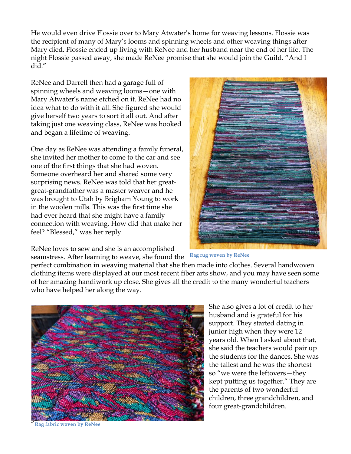He would even drive Flossie over to Mary Atwater's home for weaving lessons. Flossie was the recipient of many of Mary's looms and spinning wheels and other weaving things after Mary died. Flossie ended up living with ReNee and her husband near the end of her life. The night Flossie passed away, she made ReNee promise that she would join the Guild. "And I did."

ReNee and Darrell then had a garage full of spinning wheels and weaving looms—one with Mary Atwater's name etched on it. ReNee had no idea what to do with it all. She figured she would give herself two years to sort it all out. And after taking just one weaving class, ReNee was hooked and began a lifetime of weaving.

One day as ReNee was attending a family funeral, she invited her mother to come to the car and see one of the first things that she had woven. Someone overheard her and shared some very surprising news. ReNee was told that her greatgreat-grandfather was a master weaver and he was brought to Utah by Brigham Young to work in the woolen mills. This was the first time she had ever heard that she might have a family connection with weaving. How did that make her feel? "Blessed," was her reply.

ReNee loves to sew and she is an accomplished seamstress. After learning to weave, she found the



**Rag rug woven by ReNee**

perfect combination in weaving material that she then made into clothes. Several handwoven clothing items were displayed at our most recent fiber arts show, and you may have seen some of her amazing handiwork up close. She gives all the credit to the many wonderful teachers who have helped her along the way.



She also gives a lot of credit to her husband and is grateful for his support. They started dating in junior high when they were 12 years old. When I asked about that, she said the teachers would pair up the students for the dances. She was the tallest and he was the shortest so "we were the leftovers—they kept putting us together." They are the parents of two wonderful children, three grandchildren, and four great-grandchildren.

**Rag fabric woven by ReNee**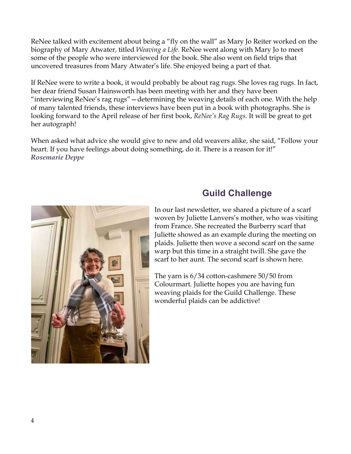ReNee talked with excitement about being a "fly on the wall" as Mary Jo Reiter worked on the biography of Mary Atwater, titled *Weaving a Life*. ReNee went along with Mary Jo to meet some of the people who were interviewed for the book. She also went on field trips that uncovered treasures from Mary Atwater's life. She enjoyed being a part of that.

If ReNee were to write a book, it would probably be about rag rugs. She loves rag rugs. In fact, her dear friend Susan Hainsworth has been meeting with her and they have been "interviewing ReNee's rag rugs"—determining the weaving details of each one. With the help of many talented friends, these interviews have been put in a book with photographs. She is looking forward to the April release of her first book, *ReNee's Rag Rugs*. It will be great to get her autograph!

When asked what advice she would give to new and old weavers alike, she said, "Follow your heart. If you have feelings about doing something, do it. There is a reason for it!" *Rosemarie Deppe*



## **Guild Challenge**

In our last newsletter, we shared a picture of a scarf woven by Juliette Lanvers's mother, who was visiting from France. She recreated the Burberry scarf that Juliette showed as an example during the meeting on plaids. Juliette then wove a second scarf on the same warp but this time in a straight twill. She gave the scarf to her aunt. The second scarf is shown here.

The yarn is 6/34 cotton-cashmere 50/50 from Colourmart. Juliette hopes you are having fun weaving plaids for the Guild Challenge. These wonderful plaids can be addictive!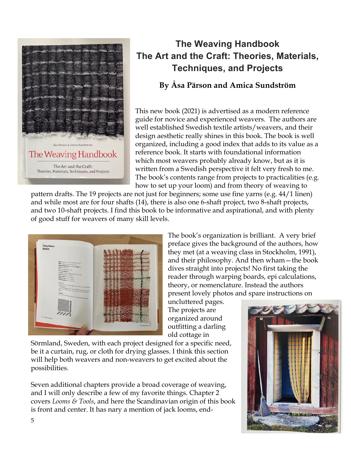

# **The Weaving Handbook The Art and the Craft: Theories, Materials, Techniques, and Projects**

#### **By Åsa Pärson and Amica Sundström**

This new book (2021) is advertised as a modern reference guide for novice and experienced weavers. The authors are well established Swedish textile artists/weavers, and their design aesthetic really shines in this book. The book is well organized, including a good index that adds to its value as a reference book. It starts with foundational information which most weavers probably already know, but as it is written from a Swedish perspective it felt very fresh to me. The book's contents range from projects to practicalities (e.g. how to set up your loom) and from theory of weaving to

pattern drafts. The 19 projects are not just for beginners; some use fine yarns (e.g. 44/1 linen) and while most are for four shafts (14), there is also one 6-shaft project, two 8-shaft projects, and two 10-shaft projects. I find this book to be informative and aspirational, and with plenty of good stuff for weavers of many skill levels.



The book's organization is brilliant. A very brief preface gives the background of the authors, how they met (at a weaving class in Stockholm, 1991), and their philosophy. And then wham—the book dives straight into projects! No first taking the reader through warping boards, epi calculations, theory, or nomenclature. Instead the authors present lovely photos and spare instructions on

uncluttered pages. The projects are organized around outfitting a darling old cottage in

Sörmland, Sweden, with each project designed for a specific need, be it a curtain, rug, or cloth for drying glasses. I think this section will help both weavers and non-weavers to get excited about the possibilities.

Seven additional chapters provide a broad coverage of weaving, and I will only describe a few of my favorite things. Chapter 2 covers *Looms & Tools*, and here the Scandinavian origin of this book is front and center. It has nary a mention of jack looms, end-

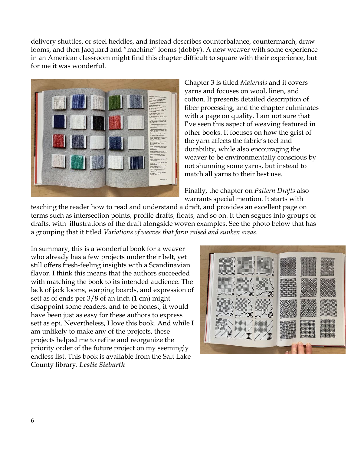delivery shuttles, or steel heddles, and instead describes counterbalance, countermarch, draw looms, and then Jacquard and "machine" looms (dobby). A new weaver with some experience in an American classroom might find this chapter difficult to square with their experience, but for me it was wonderful.



Chapter 3 is titled *Materials* and it covers yarns and focuses on wool, linen, and cotton. It presents detailed description of fiber processing, and the chapter culminates with a page on quality. I am not sure that I've seen this aspect of weaving featured in other books. It focuses on how the grist of the yarn affects the fabric's feel and durability, while also encouraging the weaver to be environmentally conscious by not shunning some yarns, but instead to match all yarns to their best use.

Finally, the chapter on *Pattern Drafts* also warrants special mention. It starts with

teaching the reader how to read and understand a draft, and provides an excellent page on terms such as intersection points, profile drafts, floats, and so on. It then segues into groups of drafts, with illustrations of the draft alongside woven examples. See the photo below that has a grouping that it titled *Variations of weaves that form raised and sunken areas*.

In summary, this is a wonderful book for a weaver who already has a few projects under their belt, yet still offers fresh-feeling insights with a Scandinavian flavor. I think this means that the authors succeeded with matching the book to its intended audience. The lack of jack looms, warping boards, and expression of sett as of ends per 3/8 of an inch (1 cm) might disappoint some readers, and to be honest, it would have been just as easy for these authors to express sett as epi. Nevertheless, I love this book. And while I am unlikely to make any of the projects, these projects helped me to refine and reorganize the priority order of the future project on my seemingly endless list. This book is available from the Salt Lake County library. *Leslie Sieburth*

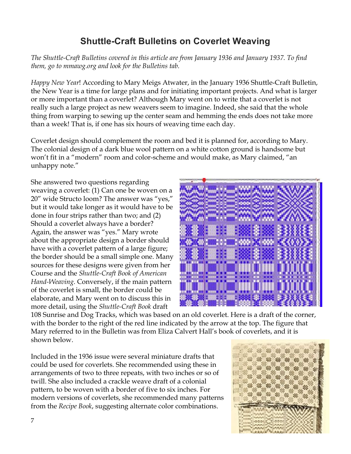## **Shuttle-Craft Bulletins on Coverlet Weaving**

*The Shuttle-Craft Bulletins covered in this article are from January 1936 and January 1937. To find them, go to mmawg.org and look for the Bulletins tab.*

*Happy New Year*! According to Mary Meigs Atwater, in the January 1936 Shuttle-Craft Bulletin, the New Year is a time for large plans and for initiating important projects. And what is larger or more important than a coverlet? Although Mary went on to write that a coverlet is not really such a large project as new weavers seem to imagine. Indeed, she said that the whole thing from warping to sewing up the center seam and hemming the ends does not take more than a week! That is, if one has six hours of weaving time each day.

Coverlet design should complement the room and bed it is planned for, according to Mary. The colonial design of a dark blue wool pattern on a white cotton ground is handsome but won't fit in a "modern" room and color-scheme and would make, as Mary claimed, "an unhappy note."

She answered two questions regarding weaving a coverlet: (1) Can one be woven on a 20" wide Structo loom? The answer was "yes," but it would take longer as it would have to be done in four strips rather than two; and (2) Should a coverlet always have a border? Again, the answer was "yes." Mary wrote about the appropriate design a border should have with a coverlet pattern of a large figure; the border should be a small simple one. Many sources for these designs were given from her Course and the *Shuttle-Craft Book of American Hand-Weaving*. Conversely, if the main pattern of the coverlet is small, the border could be elaborate, and Mary went on to discuss this in more detail, using the *Shuttle-Craft Book* draft



108 Sunrise and Dog Tracks, which was based on an old coverlet. Here is a draft of the corner, with the border to the right of the red line indicated by the arrow at the top. The figure that Mary referred to in the Bulletin was from Eliza Calvert Hall's book of coverlets, and it is shown below.

Included in the 1936 issue were several miniature drafts that could be used for coverlets. She recommended using these in arrangements of two to three repeats, with two inches or so of twill. She also included a crackle weave draft of a colonial pattern, to be woven with a border of five to six inches. For modern versions of coverlets, she recommended many patterns from the *Recipe Book*, suggesting alternate color combinations.

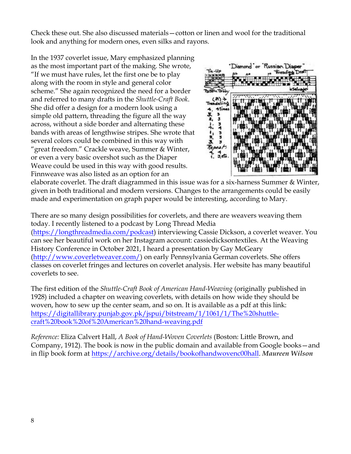Check these out. She also discussed materials—cotton or linen and wool for the traditional look and anything for modern ones, even silks and rayons.

In the 1937 coverlet issue, Mary emphasized planning as the most important part of the making. She wrote, "If we must have rules, let the first one be to play along with the room in style and general color scheme." She again recognized the need for a border and referred to many drafts in the *Shuttle-Craft Book*. She did offer a design for a modern look using a simple old pattern, threading the figure all the way across, without a side border and alternating these bands with areas of lengthwise stripes. She wrote that several colors could be combined in this way with "great freedom." Crackle weave, Summer & Winter, or even a very basic overshot such as the Diaper Weave could be used in this way with good results. Finnweave was also listed as an option for an



elaborate coverlet. The draft diagrammed in this issue was for a six-harness Summer & Winter, given in both traditional and modern versions. Changes to the arrangements could be easily made and experimentation on graph paper would be interesting, according to Mary.

There are so many design possibilities for coverlets, and there are weavers weaving them today. I recently listened to a podcast by Long Thread Media (https://longthreadmedia.com/podcast) interviewing Cassie Dickson, a coverlet weaver. You can see her beautiful work on her Instagram account: cassiedicksontextiles. At the Weaving History Conference in October 2021, I heard a presentation by Gay McGeary (http://www.coverletweaver.com/) on early Pennsylvania German coverlets. She offers classes on coverlet fringes and lectures on coverlet analysis. Her website has many beautiful coverlets to see.

The first edition of the *Shuttle-Craft Book of American Hand-Weaving* (originally published in 1928) included a chapter on weaving coverlets, with details on how wide they should be woven, how to sew up the center seam, and so on. It is available as a pdf at this link: https://digitallibrary.punjab.gov.pk/jspui/bitstream/1/1061/1/The%20shuttlecraft%20book%20of%20American%20hand-weaving.pdf

*Reference:* Eliza Calvert Hall, *A Book of Hand-Woven Coverlets* (Boston: Little Brown, and Company, 1912). The book is now in the public domain and available from Google books—and in flip book form at https://archive.org/details/bookofhandwovenc00hall. *Maureen Wilson*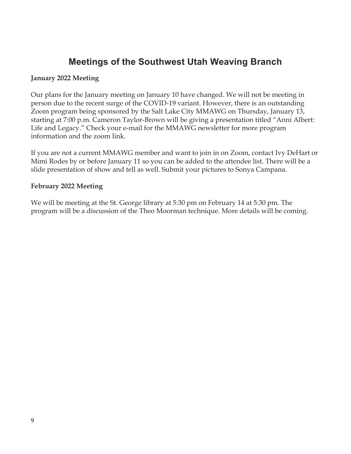### **Meetings of the Southwest Utah Weaving Branch**

#### **January 2022 Meeting**

Our plans for the January meeting on January 10 have changed. We will not be meeting in person due to the recent surge of the COVID-19 variant. However, there is an outstanding Zoom program being sponsored by the Salt Lake City MMAWG on Thursday, January 13, starting at 7:00 p.m. Cameron Taylor-Brown will be giving a presentation titled "Anni Albert: Life and Legacy." Check your e-mail for the MMAWG newsletter for more program information and the zoom link.

If you are not a current MMAWG member and want to join in on Zoom, contact Ivy DeHart or Mimi Rodes by or before January 11 so you can be added to the attendee list. There will be a slide presentation of show and tell as well. Submit your pictures to Sonya Campana.

#### **February 2022 Meeting**

We will be meeting at the St. George library at 5:30 pm on February 14 at 5:30 pm. The program will be a discussion of the Theo Moorman technique. More details will be coming.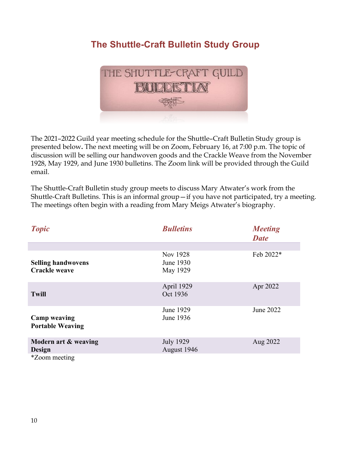## **The Shuttle-Craft Bulletin Study Group**



The 2021–2022 Guild year meeting schedule for the Shuttle–Craft Bulletin Study group is presented below**.** The next meeting will be on Zoom, February 16, at 7:00 p.m. The topic of discussion will be selling our handwoven goods and the Crackle Weave from the November 1928, May 1929, and June 1930 bulletins. The Zoom link will be provided through the Guild email.

The Shuttle-Craft Bulletin study group meets to discuss Mary Atwater's work from the Shuttle-Craft Bulletins. This is an informal group—if you have not participated, try a meeting. The meetings often begin with a reading from Mary Meigs Atwater's biography.

| <b>Topic</b>                                      | <b>Bulletins</b>                  | <b>Meeting</b><br><b>Date</b> |
|---------------------------------------------------|-----------------------------------|-------------------------------|
|                                                   |                                   |                               |
| <b>Selling handwovens</b><br><b>Crackle weave</b> | Nov 1928<br>June 1930<br>May 1929 | Feb 2022*                     |
| <b>Twill</b>                                      | April 1929<br>Oct 1936            | Apr 2022                      |
| <b>Camp weaving</b><br><b>Portable Weaving</b>    | June 1929<br>June 1936            | June 2022                     |
| Modern art & weaving<br>Design                    | <b>July 1929</b><br>August 1946   | Aug 2022                      |
| <i>*Zoom</i> meeting                              |                                   |                               |